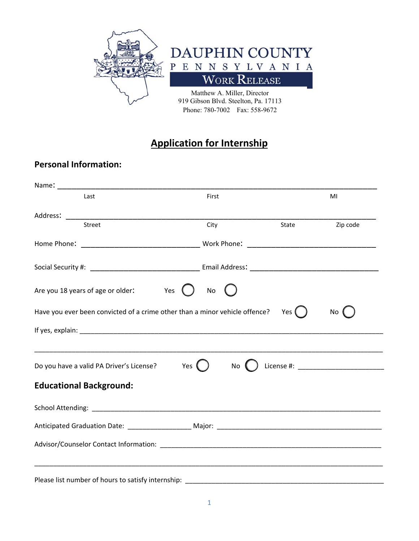

## **Application for Internship**

## **Personal Information:**

| Last                                                                             | First             |         | MI       |
|----------------------------------------------------------------------------------|-------------------|---------|----------|
|                                                                                  |                   |         |          |
| Street                                                                           | City              | State   | Zip code |
|                                                                                  |                   |         |          |
|                                                                                  |                   |         |          |
| Are you 18 years of age or older: Yes $\bigcirc$ No                              |                   |         |          |
| Have you ever been convicted of a crime other than a minor vehicle offence?      |                   | Yes ( ) | No (     |
|                                                                                  |                   |         |          |
|                                                                                  |                   |         |          |
| Do you have a valid PA Driver's License?                                         | Yes $( )$<br>No ( |         |          |
| <b>Educational Background:</b>                                                   |                   |         |          |
|                                                                                  |                   |         |          |
|                                                                                  |                   |         |          |
|                                                                                  |                   |         |          |
|                                                                                  |                   |         |          |
| Please list number of hours to satisfy internship: _____________________________ |                   |         |          |